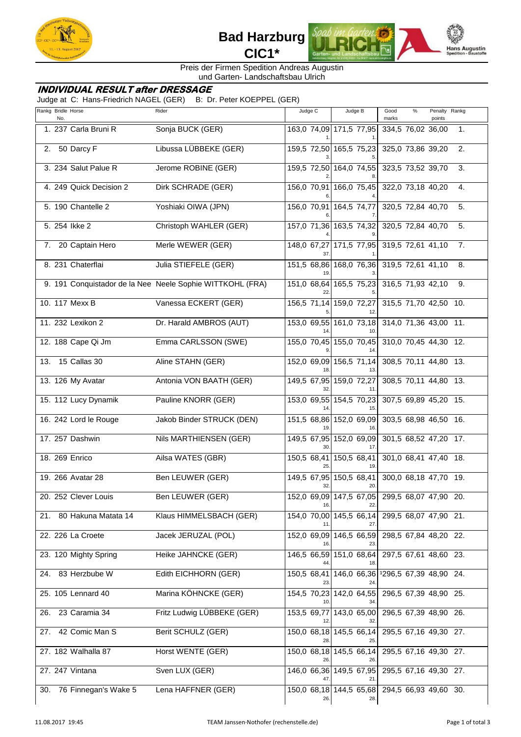



Preis der Firmen Spedition Andreas Augustin und Garten- Landschaftsbau Ulrich

## **INDIVIDUAL RESULT after DRESSAGE**

Judge at C: Hans-Friedrich NAGEL (GER) B: Dr. Peter KOEPPEL (GER)

|     | Rankg Bridle Horse<br>No. | Rider                                                     | Judge C | Judge B                        | Good<br>$\%$<br>Penalty<br>Rankg<br>marks<br>points |
|-----|---------------------------|-----------------------------------------------------------|---------|--------------------------------|-----------------------------------------------------|
|     | 1. 237 Carla Bruni R      | Sonja BUCK (GER)                                          |         | 163,0 74,09 171,5 77,95        | 334,5 76,02 36,00<br>1.                             |
|     | 2. 50 Darcy F             | Libussa LÜBBEKE (GER)                                     |         | 159,5 72,50 165,5 75,23        | 325,0 73,86 39,20<br>2.                             |
|     | 3. 234 Salut Palue R      | Jerome ROBINE (GER)                                       |         |                                | 159,5 72,50 164,0 74,55 323,5 73,52 39,70<br>3.     |
|     | 4. 249 Quick Decision 2   | Dirk SCHRADE (GER)                                        |         | 156,0 70,91 166,0 75,45        | 322,0 73,18 40,20<br>4.                             |
|     | 5. 190 Chantelle 2        | Yoshiaki OIWA (JPN)                                       |         | 156,0 70,91 164,5 74,77        | 320,5 72,84 40,70<br>5.                             |
|     | 5. 254 lkke 2             | Christoph WAHLER (GER)                                    |         | 157,0 71,36 163,5 74,32        | 320,5 72,84 40,70<br>5.                             |
|     | 7. 20 Captain Hero        | Merle WEWER (GER)                                         |         | 148,0 67,27 171,5 77,95        | 319,5 72,61 41,10<br>7.                             |
|     | 8. 231 Chaterflai         | Julia STIEFELE (GER)                                      |         |                                | 151,5 68,86 168,0 76,36 319,5 72,61 41,10<br>8.     |
|     |                           | 9. 191 Conquistador de la Nee Neele Sophie WITTKOHL (FRA) |         |                                | 151,0 68,64 165,5 75,23 316,5 71,93 42,10<br>9.     |
|     | 10. 117 Mexx B            | Vanessa ECKERT (GER)                                      |         | 156,5 71,14 159,0 72,27        | 315,5 71,70 42,50 10.                               |
|     | 11. 232 Lexikon 2         | Dr. Harald AMBROS (AUT)                                   |         |                                | 153,0 69,55 161,0 73,18 314,0 71,36 43,00 11.       |
|     | 12. 188 Cape Qi Jm        | Emma CARLSSON (SWE)                                       |         | 155,0 70,45 155,0 70,45        | 310,0 70,45 44,30 12.                               |
|     | 13. 15 Callas 30          | Aline STAHN (GER)                                         |         | 152,0 69,09 156,5 71,14        | 308,5 70,11 44,80 13.                               |
|     | 13. 126 My Avatar         | Antonia VON BAATH (GER)                                   |         | 149,5 67,95 159,0 72,27<br>11. | 308,5 70,11 44,80 13.                               |
|     | 15. 112 Lucy Dynamik      | Pauline KNORR (GER)                                       |         | 15.                            | 153,0 69,55 154,5 70,23 307,5 69,89 45,20 15.       |
|     | 16. 242 Lord le Rouge     | Jakob Binder STRUCK (DEN)                                 |         | 151,5 68,86 152,0 69,09        | 303,5 68,98 46,50 16.                               |
|     | 17. 257 Dashwin           | Nils MARTHIENSEN (GER)                                    |         |                                | 149,5 67,95 152,0 69,09 301,5 68,5 247,20 17.       |
|     | 18. 269 Enrico            | Ailsa WATES (GBR)                                         |         | 150,5 68,41 150,5 68,41        | 301,0 68,41 47,40 18.                               |
|     | 19. 266 Avatar 28         | Ben LEUWER (GER)                                          |         | 149,5 67,95 150,5 68,41        | 300,0 68,18 47,70 19.                               |
|     | 20. 252 Clever Louis      | Ben LEUWER (GER)                                          |         | 22.                            | 152,0 69,09 147,5 67,05 299,5 68,07 47,90 20.       |
| 21. | 80 Hakuna Matata 14       | Klaus HIMMELSBACH (GER)                                   |         | 154,0 70,00 145,5 66,14        | 299,5 68,07 47,90 21.                               |
|     | 22. 226 La Croete         | Jacek JERUZAL (POL)                                       |         | 152,0 69,09 146,5 66,59        | 298,5 67,84 48,20 22.                               |
|     | 23. 120 Mighty Spring     | Heike JAHNCKE (GER)                                       |         | 146,5 66,59 151,0 68,64<br>18. | 297,5 67,61 48,60 23.                               |
| 24. | 83 Herzbube W             | Edith EICHHORN (GER)                                      | 23.     | 24.                            | 150,5 68,41 146,0 66,36 1296,5 67,39 48,90 24.      |
|     | 25. 105 Lennard 40        | Marina KÖHNCKE (GER)                                      | 10.     |                                | 154,5 70,23 142,0 64,55 296,5 67,39 48,90 25.       |
| 26. | 23 Caramia 34             | Fritz Ludwig LÜBBEKE (GER)                                |         | 153,5 69,77 143,0 65,00<br>32. | 296,5 67,39 48,90 26.                               |
| 27. | 42 Comic Man S            | Berit SCHULZ (GER)                                        |         | 150,0 68,18 145,5 66,14        | 295,5 67,16 49,30 27.                               |
|     | 27. 182 Walhalla 87       | Horst WENTE (GER)                                         |         | 150,0 68,18 145,5 66,14        | 295,5 67,16 49,30 27.                               |
|     | 27. 247 Vintana           | Sven LUX (GER)                                            | 47.     | 146,0 66,36 149,5 67,95<br>21. | 295,5 67,16 49,30 27.                               |
| 30. | 76 Finnegan's Wake 5      | Lena HAFFNER (GER)                                        | 26.     | 150,0 68,18 144,5 65,68<br>28. | 294,5 66,93 49,60 30.                               |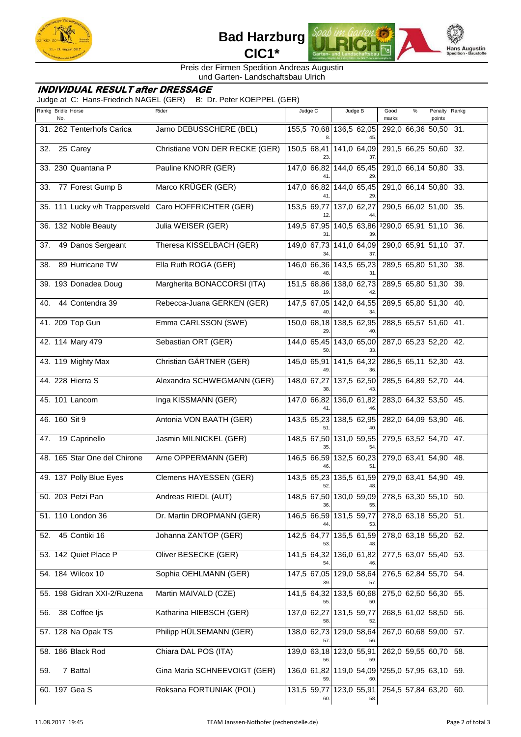



Preis der Firmen Spedition Andreas Augustin und Garten- Landschaftsbau Ulrich

## **INDIVIDUAL RESULT after DRESSAGE**

Judge at C: Hans-Friedrich NAGEL (GER) B: Dr. Peter KOEPPEL (GER)

| Rankg Bridle Horse<br>No. |                              | Rider                                                 | Judge C | Judge B                        | Good<br>$\%$<br>Penalty Rankg<br>marks<br>points |  |
|---------------------------|------------------------------|-------------------------------------------------------|---------|--------------------------------|--------------------------------------------------|--|
|                           | 31. 262 Tenterhofs Carica    | Jarno DEBUSSCHERE (BEL)                               |         | 155,5 70,68 136,5 62,05        | 292,0 66,36 50,50 31.                            |  |
| 32.                       | 25 Carey                     | Christiane VON DER RECKE (GER)                        |         |                                | 150,5 68,41 141,0 64,09 291,5 66,25 50,60 32.    |  |
|                           | 33. 230 Quantana P           | Pauline KNORR (GER)                                   |         |                                | 147,0 66,82 144,0 65,45 291,0 66,14 50,80 33.    |  |
|                           | 33. 77 Forest Gump B         | Marco KRÜGER (GER)                                    |         | 147,0 66,82 144,0 65,45        | 291,0 66,14 50,80 33.                            |  |
|                           |                              | 35. 111 Lucky v/h Trappersveld Caro HOFFRICHTER (GER) |         | 153,5 69,77 137,0 62,27        | 290,5 66,02 51,00 35.                            |  |
|                           | 36. 132 Noble Beauty         | Julia WEISER (GER)                                    |         |                                | 149,5 67,95 140,5 63,86 1290,0 65,91 51,10 36.   |  |
|                           | 37. 49 Danos Sergeant        | Theresa KISSELBACH (GER)                              |         | 149,0 67,73 141,0 64,09        | 290,0 65,91 51,10 37.                            |  |
|                           | 38. 89 Hurricane TW          | Ella Ruth ROGA (GER)                                  |         | 146,0 66,36 143,5 65,23        | 289,5 65,80 51,30 38.                            |  |
|                           | 39. 193 Donadea Doug         | Margherita BONACCORSI (ITA)                           |         |                                | 151,5 68,86 138,0 62,73 289,5 65,80 51,30 39.    |  |
|                           | 40. 44 Contendra 39          | Rebecca-Juana GERKEN (GER)                            |         |                                | 147,5 67,05 142,0 64,55 289,5 65,80 51,30 40.    |  |
|                           | 41. 209 Top Gun              | Emma CARLSSON (SWE)                                   |         | 150,0 68,18 138,5 62,95        | 288,5 65,57 51,60 41.                            |  |
|                           | 42. 114 Mary 479             | Sebastian ORT (GER)                                   |         | 144,0 65,45 143,0 65,00        | 287,0 65,23 52,20 42.                            |  |
|                           | 43. 119 Mighty Max           | Christian GÄRTNER (GER)                               |         | 145,0 65,91 141,5 64,32        | 286,5 65,11 52,30 43.                            |  |
|                           | 44. 228 Hierra S             | Alexandra SCHWEGMANN (GER)                            |         |                                | 148,0 67,27 137,5 62,50 285,5 64,89 52,70 44.    |  |
|                           | 45. 101 Lancom               | Inga KISSMANN (GER)                                   |         | 147,0 66,82 136,0 61,82        | 283,0 64,32 53,50 45.                            |  |
| 46. 160 Sit 9             |                              | Antonia VON BAATH (GER)                               |         | 143,5 65,23 138,5 62,95        | 282,0 64,09 53,90 46.                            |  |
|                           | 47. 19 Caprinello            | Jasmin MILNICKEL (GER)                                |         |                                | 148,5 67,50 131,0 59,55 279,5 63,52 54,70 47.    |  |
|                           | 48. 165 Star One del Chirone | Arne OPPERMANN (GER)                                  |         | 146,5 66,59 132,5 60,23        | 279,0 63,41 54,90 48.                            |  |
|                           | 49. 137 Polly Blue Eyes      | Clemens HAYESSEN (GER)                                |         | 143,5 65,23 135,5 61,59        | 279,0 63,41 54,90 49.                            |  |
|                           | 50. 203 Petzi Pan            | Andreas RIEDL (AUT)                                   |         | 55.                            | 148,5 67,50 130,0 59,09 278,5 63,30 55,10 50.    |  |
|                           | 51. 110 London 36            | Dr. Martin DROPMANN (GER)                             |         | 146,5 66,59 131,5 59,77        | 278,0 63,18 55,20 51.                            |  |
|                           | 52. 45 Contiki 16            | Johanna ZANTOP (GER)                                  |         | 142,5 64,77 135,5 61,59        | 278,0 63,18 55,20 52.                            |  |
|                           | 53. 142 Quiet Place P        | Oliver BESECKE (GER)                                  | 54.     | 141,5 64,32 136,0 61,82        | 277,5 63,07 55,40 53.                            |  |
|                           | 54. 184 Wilcox 10            | Sophia OEHLMANN (GER)                                 |         | 147,5 67,05 129,0 58,64<br>57. | 276,5 62,84 55,70 54.                            |  |
|                           | 55. 198 Gidran XXI-2/Ruzena  | Martin MAIVALD (CZE)                                  | 55      | 50.                            | 141,5 64,32 133,5 60,68 275,0 62,50 56,30 55.    |  |
| 56.                       | 38 Coffee ljs                | Katharina HIEBSCH (GER)                               |         | 137,0 62,27 131,5 59,77        | 268,5 61,02 58,50 56.                            |  |
|                           | 57. 128 Na Opak TS           | Philipp HÜLSEMANN (GER)                               |         | 138,0 62,73 129,0 58,64        | 267,0 60,68 59,00 57.                            |  |
|                           | 58. 186 Black Rod            | Chiara DAL POS (ITA)                                  |         | 139,0 63,18 123,0 55,91        | 262,0 59,55 60,70 58.                            |  |
| 59.                       | 7 Battal                     | Gina Maria SCHNEEVOIGT (GER)                          | 59.     | 136,0 61,82 119,0 54,09<br>60. | 1255,0 57,95 63,10 59.                           |  |
| 60. 197 Gea S             |                              | Roksana FORTUNIAK (POL)                               | 60.     | 131,5 59,77 123,0 55,91<br>58. | 254,5 57,84 63,20 60.                            |  |